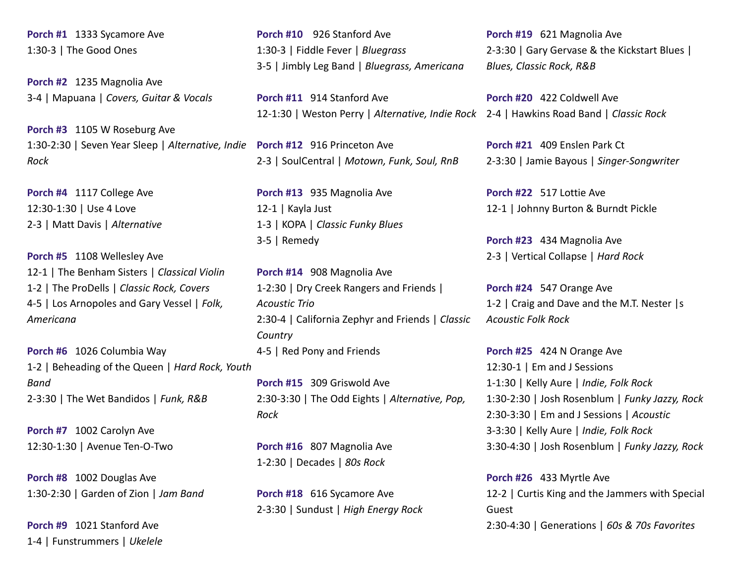**Porch #1** 1333 Sycamore Ave 1:30-3 | The Good Ones

**Porch #2** 1235 Magnolia Ave 3-4 | Mapuana | *Covers, Guitar & Vocals*

**Porch #3** 1105 W Roseburg Ave 1:30-2:30 | Seven Year Sleep | *Alternative, Indie* **Porch #12** 916 Princeton Ave *Rock*

**Porch #4** 1117 College Ave 12:30-1:30 | Use 4 Love 2-3 | Matt Davis | *Alternative*

**Porch #5** 1108 Wellesley Ave 12-1 | The Benham Sisters | *Classical Violin* 1-2 | The ProDells | *Classic Rock, Covers* 4-5 | Los Arnopoles and Gary Vessel | *Folk, Americana*

**Porch #6** 1026 Columbia Way 1-2 | Beheading of the Queen | *Hard Rock, Youth Band* 2-3:30 | The Wet Bandidos | *Funk, R&B*

**Porch #7** 1002 Carolyn Ave 12:30-1:30 | Avenue Ten-O-Two

**Porch #8** 1002 Douglas Ave 1:30-2:30 | Garden of Zion | *Jam Band*

**Porch #9** 1021 Stanford Ave 1-4 | Funstrummers | *Ukelele*

**Porch #10** 926 Stanford Ave 1:30-3 | Fiddle Fever | *Bluegrass* 3-5 | Jimbly Leg Band | *Bluegrass, Americana*

**Porch #11** 914 Stanford Ave 12-1:30 | Weston Perry | *Alternative, Indie Rock* 2-4 | Hawkins Road Band | *Classic Rock*

2-3 | SoulCentral | *Motown, Funk, Soul, RnB*

**Porch #13** 935 Magnolia Ave 12-1 | Kayla Just 1-3 | KOPA | *Classic Funky Blues* 3-5 | Remedy

**Porch #14** 908 Magnolia Ave 1-2:30 | Dry Creek Rangers and Friends | *Acoustic Trio* 2:30-4 | California Zephyr and Friends | *Classic Country* 4-5 | Red Pony and Friends

**Porch #15** 309 Griswold Ave 2:30-3:30 | The Odd Eights | *Alternative, Pop, Rock*

**Porch #16** 807 Magnolia Ave 1-2:30 | Decades | *80s Rock*

**Porch #18** 616 Sycamore Ave 2-3:30 | Sundust | *High Energy Rock* **Porch #19** 621 Magnolia Ave 2-3:30 | Gary Gervase & the Kickstart Blues | *Blues, Classic Rock, R&B*

**Porch #20** 422 Coldwell Ave

**Porch #21** 409 Enslen Park Ct 2-3:30 | Jamie Bayous | *Singer-Songwriter*

**Porch #22** 517 Lottie Ave 12-1 | Johnny Burton & Burndt Pickle

**Porch #23** 434 Magnolia Ave 2-3 | Vertical Collapse | *Hard Rock*

**Porch #24** 547 Orange Ave 1-2 | Craig and Dave and the M.T. Nester |s *Acoustic Folk Rock*

**Porch #25** 424 N Orange Ave 12:30-1 | Em and J Sessions 1-1:30 | Kelly Aure | *Indie, Folk Rock* 1:30-2:30 | Josh Rosenblum | *Funky Jazzy, Rock* 2:30-3:30 | Em and J Sessions | *Acoustic* 3-3:30 | Kelly Aure | *Indie, Folk Rock* 3:30-4:30 | Josh Rosenblum | *Funky Jazzy, Rock*

**Porch #26** 433 Myrtle Ave 12-2 | Curtis King and the Jammers with Special Guest 2:30-4:30 | Generations | *60s & 70s Favorites*